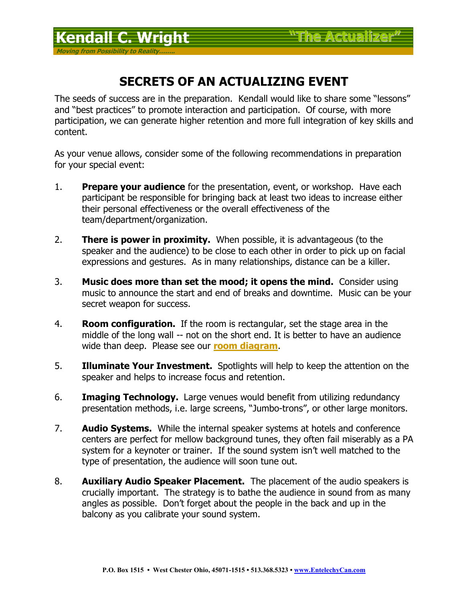**Moving from Possibility to Reality……..**

## **SECRETS OF AN ACTUALIZING EVENT**

The seeds of success are in the preparation. Kendall would like to share some "lessons" and "best practices" to promote interaction and participation. Of course, with more participation, we can generate higher retention and more full integration of key skills and content.

As your venue allows, consider some of the following recommendations in preparation for your special event:

- 1. **Prepare your audience** for the presentation, event, or workshop. Have each participant be responsible for bringing back at least two ideas to increase either their personal effectiveness or the overall effectiveness of the team/department/organization.
- 2. **There is power in proximity.** When possible, it is advantageous (to the speaker and the audience) to be close to each other in order to pick up on facial expressions and gestures. As in many relationships, distance can be a killer.
- 3. **Music does more than set the mood; it opens the mind.** Consider using music to announce the start and end of breaks and downtime. Music can be your secret weapon for success.
- 4. **Room configuration.** If the room is rectangular, set the stage area in the middle of the long wall -- not on the short end. It is better to have an audience wide than deep. Please see our **room diagram**.
- 5. **Illuminate Your Investment.** Spotlights will help to keep the attention on the speaker and helps to increase focus and retention.
- 6. **Imaging Technology.** Large venues would benefit from utilizing redundancy presentation methods, i.e. large screens, "Jumbo-trons", or other large monitors.
- 7. **Audio Systems.** While the internal speaker systems at hotels and conference centers are perfect for mellow background tunes, they often fail miserably as a PA system for a keynoter or trainer. If the sound system isn't well matched to the type of presentation, the audience will soon tune out.
- 8. **Auxiliary Audio Speaker Placement.** The placement of the audio speakers is crucially important. The strategy is to bathe the audience in sound from as many angles as possible. Don't forget about the people in the back and up in the balcony as you calibrate your sound system.